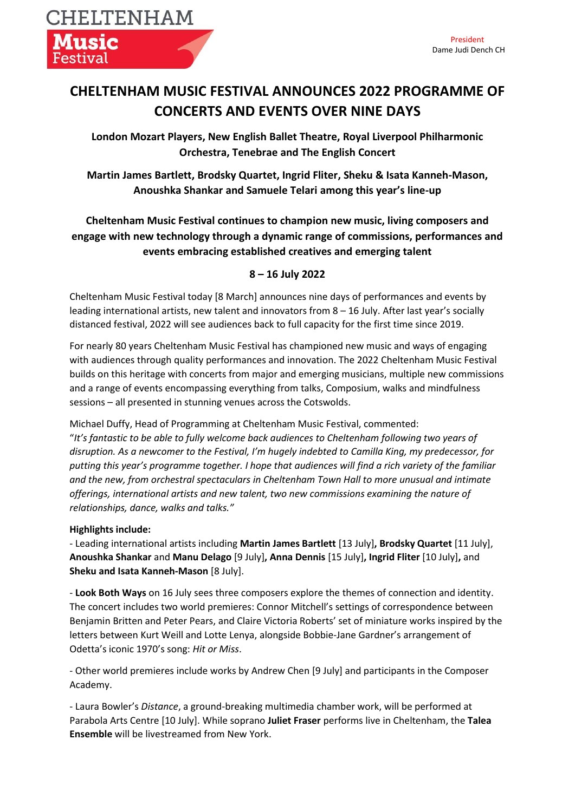# **CHELTENHAM MUSIC FESTIVAL ANNOUNCES 2022 PROGRAMME OF CONCERTS AND EVENTS OVER NINE DAYS**

**London Mozart Players, New English Ballet Theatre, Royal Liverpool Philharmonic Orchestra, Tenebrae and The English Concert**

**Martin James Bartlett, Brodsky Quartet, Ingrid Fliter, Sheku & Isata Kanneh-Mason, Anoushka Shankar and Samuele Telari among this year's line-up**

# **Cheltenham Music Festival continues to champion new music, living composers and engage with new technology through a dynamic range of commissions, performances and events embracing established creatives and emerging talent**

## **8 – 16 July 2022**

Cheltenham Music Festival today [8 March] announces nine days of performances and events by leading international artists, new talent and innovators from 8 – 16 July. After last year's socially distanced festival, 2022 will see audiences back to full capacity for the first time since 2019.

For nearly 80 years Cheltenham Music Festival has championed new music and ways of engaging with audiences through quality performances and innovation. The 2022 Cheltenham Music Festival builds on this heritage with concerts from major and emerging musicians, multiple new commissions and a range of events encompassing everything from talks, Composium, walks and mindfulness sessions – all presented in stunning venues across the Cotswolds.

Michael Duffy, Head of Programming at Cheltenham Music Festival, commented: "*It's fantastic to be able to fully welcome back audiences to Cheltenham following two years of disruption. As a newcomer to the Festival, I'm hugely indebted to Camilla King, my predecessor, for putting this year's programme together. I hope that audiences will find a rich variety of the familiar and the new, from orchestral spectaculars in Cheltenham Town Hall to more unusual and intimate offerings, international artists and new talent, two new commissions examining the nature of relationships, dance, walks and talks."*

## **Highlights include:**

- Leading international artists including **Martin James Bartlett** [13 July]**, Brodsky Quartet** [11 July], **Anoushka Shankar** and **Manu Delago** [9 July]**, Anna Dennis** [15 July]**, Ingrid Fliter** [10 July]**,** and **Sheku and Isata Kanneh-Mason** [8 July].

- **Look Both Ways** on 16 July sees three composers explore the themes of connection and identity. The concert includes two world premieres: Connor Mitchell's settings of correspondence between Benjamin Britten and Peter Pears, and Claire Victoria Roberts' set of miniature works inspired by the letters between Kurt Weill and Lotte Lenya, alongside Bobbie-Jane Gardner's arrangement of Odetta's iconic 1970's song: *Hit or Miss*.

- Other world premieres include works by Andrew Chen [9 July] and participants in the Composer Academy.

- Laura Bowler's *Distance*, a ground-breaking multimedia chamber work, will be performed at Parabola Arts Centre [10 July]. While soprano **Juliet Fraser** performs live in Cheltenham, the **Talea Ensemble** will be livestreamed from New York.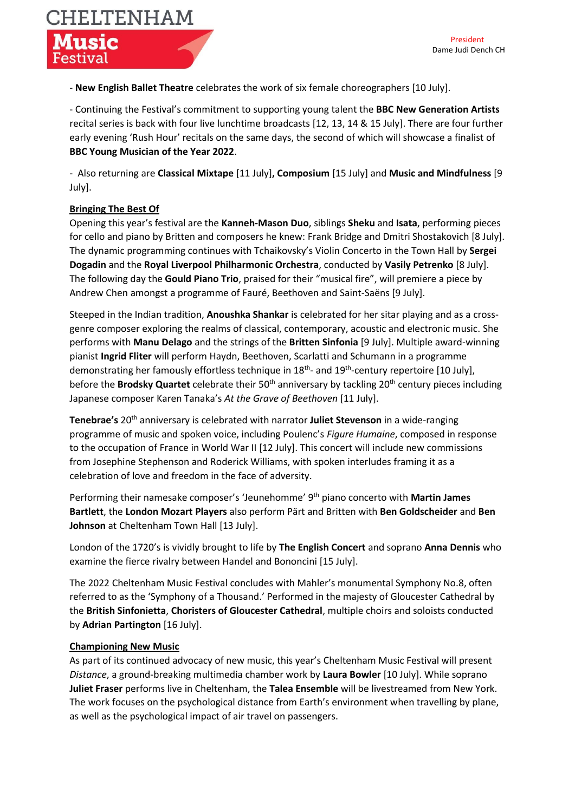

- **New English Ballet Theatre** celebrates the work of six female choreographers [10 July].

- Continuing the Festival's commitment to supporting young talent the **BBC New Generation Artists**  recital series is back with four live lunchtime broadcasts [12, 13, 14 & 15 July]. There are four further early evening 'Rush Hour' recitals on the same days, the second of which will showcase a finalist of **BBC Young Musician of the Year 2022**.

- Also returning are **Classical Mixtape** [11 July]**, Composium** [15 July] and **Music and Mindfulness** [9 July].

### **Bringing The Best Of**

Opening this year's festival are the **Kanneh-Mason Duo**, siblings **Sheku** and **Isata**, performing pieces for cello and piano by Britten and composers he knew: Frank Bridge and Dmitri Shostakovich [8 July]. The dynamic programming continues with Tchaikovsky's Violin Concerto in the Town Hall by **Sergei Dogadin** and the **Royal Liverpool Philharmonic Orchestra**, conducted by **Vasily Petrenko** [8 July]. The following day the **Gould Piano Trio**, praised for their "musical fire", will premiere a piece by Andrew Chen amongst a programme of Fauré, Beethoven and Saint-Saëns [9 July].

Steeped in the Indian tradition, **Anoushka Shankar** is celebrated for her sitar playing and as a crossgenre composer exploring the realms of classical, contemporary, acoustic and electronic music. She performs with **Manu Delago** and the strings of the **Britten Sinfonia** [9 July]. Multiple award-winning pianist **Ingrid Fliter** will perform Haydn, Beethoven, Scarlatti and Schumann in a programme demonstrating her famously effortless technique in 18<sup>th</sup>- and 19<sup>th</sup>-century repertoire [10 July], before the **Brodsky Quartet** celebrate their 50<sup>th</sup> anniversary by tackling 20<sup>th</sup> century pieces including Japanese composer Karen Tanaka's *At the Grave of Beethoven* [11 July].

**Tenebrae's** 20th anniversary is celebrated with narrator **Juliet Stevenson** in a wide-ranging programme of music and spoken voice, including Poulenc's *Figure Humaine*, composed in response to the occupation of France in World War II [12 July]. This concert will include new commissions from Josephine Stephenson and Roderick Williams, with spoken interludes framing it as a celebration of love and freedom in the face of adversity.

Performing their namesake composer's 'Jeunehomme' 9th piano concerto with **Martin James Bartlett**, the **London Mozart Players** also perform Pärt and Britten with **Ben Goldscheider** and **Ben Johnson** at Cheltenham Town Hall [13 July].

London of the 1720's is vividly brought to life by **The English Concert** and soprano **Anna Dennis** who examine the fierce rivalry between Handel and Bononcini [15 July].

The 2022 Cheltenham Music Festival concludes with Mahler's monumental Symphony No.8, often referred to as the 'Symphony of a Thousand.' Performed in the majesty of Gloucester Cathedral by the **British Sinfonietta**, **Choristers of Gloucester Cathedral**, multiple choirs and soloists conducted by **Adrian Partington** [16 July].

#### **Championing New Music**

As part of its continued advocacy of new music, this year's Cheltenham Music Festival will present *Distance*, a ground-breaking multimedia chamber work by **Laura Bowler** [10 July]. While soprano **Juliet Fraser** performs live in Cheltenham, the **Talea Ensemble** will be livestreamed from New York. The work focuses on the psychological distance from Earth's environment when travelling by plane, as well as the psychological impact of air travel on passengers.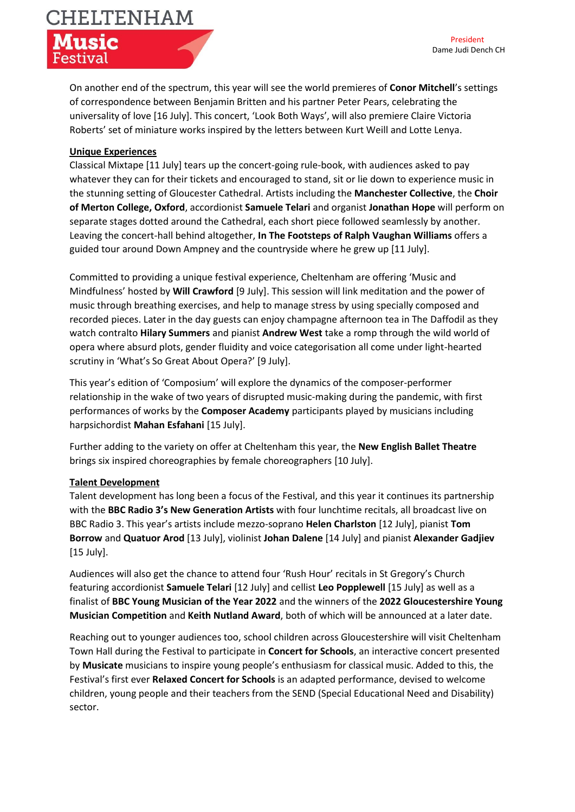**Ausic** 

 President Dame Judi Dench CH

On another end of the spectrum, this year will see the world premieres of **Conor Mitchell**'s settings of correspondence between Benjamin Britten and his partner Peter Pears, celebrating the universality of love [16 July]. This concert, 'Look Both Ways', will also premiere Claire Victoria Roberts' set of miniature works inspired by the letters between Kurt Weill and Lotte Lenya.

#### **Unique Experiences**

Classical Mixtape [11 July] tears up the concert-going rule-book, with audiences asked to pay whatever they can for their tickets and encouraged to stand, sit or lie down to experience music in the stunning setting of Gloucester Cathedral. Artists including the **Manchester Collective**, the **Choir of Merton College, Oxford**, accordionist **Samuele Telari** and organist **Jonathan Hope** will perform on separate stages dotted around the Cathedral, each short piece followed seamlessly by another. Leaving the concert-hall behind altogether, **In The Footsteps of Ralph Vaughan Williams** offers a guided tour around Down Ampney and the countryside where he grew up [11 July].

Committed to providing a unique festival experience, Cheltenham are offering 'Music and Mindfulness' hosted by **Will Crawford** [9 July]. This session will link meditation and the power of music through breathing exercises, and help to manage stress by using specially composed and recorded pieces. Later in the day guests can enjoy champagne afternoon tea in The Daffodil as they watch contralto **Hilary Summers** and pianist **Andrew West** take a romp through the wild world of opera where absurd plots, gender fluidity and voice categorisation all come under light-hearted scrutiny in 'What's So Great About Opera?' [9 July].

This year's edition of 'Composium' will explore the dynamics of the composer-performer relationship in the wake of two years of disrupted music-making during the pandemic, with first performances of works by the **Composer Academy** participants played by musicians including harpsichordist **Mahan Esfahani** [15 July].

Further adding to the variety on offer at Cheltenham this year, the **New English Ballet Theatre** brings six inspired choreographies by female choreographers [10 July].

#### **Talent Development**

Talent development has long been a focus of the Festival, and this year it continues its partnership with the **BBC Radio 3's New Generation Artists** with four lunchtime recitals, all broadcast live on BBC Radio 3. This year's artists include mezzo-soprano **Helen Charlston** [12 July], pianist **Tom Borrow** and **Quatuor Arod** [13 July], violinist **Johan Dalene** [14 July] and pianist **Alexander Gadjiev** [15 July].

Audiences will also get the chance to attend four 'Rush Hour' recitals in St Gregory's Church featuring accordionist **Samuele Telari** [12 July] and cellist **Leo Popplewell** [15 July] as well as a finalist of **BBC Young Musician of the Year 2022** and the winners of the **2022 Gloucestershire Young Musician Competition** and **Keith Nutland Award**, both of which will be announced at a later date.

Reaching out to younger audiences too, school children across Gloucestershire will visit Cheltenham Town Hall during the Festival to participate in **Concert for Schools**, an interactive concert presented by **Musicate** musicians to inspire young people's enthusiasm for classical music. Added to this, the Festival's first ever **Relaxed Concert for Schools** is an adapted performance, devised to welcome children, young people and their teachers from the SEND (Special Educational Need and Disability) sector.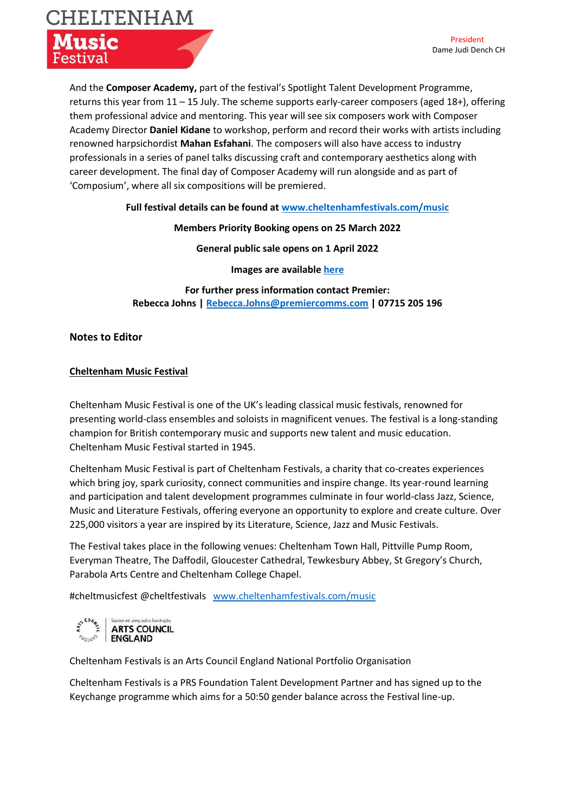

And the **Composer Academy,** part of the festival's Spotlight Talent Development Programme, returns this year from  $11 - 15$  July. The scheme supports early-career composers (aged  $18+$ ), offering them professional advice and mentoring. This year will see six composers work with Composer Academy Director **Daniel Kidane** to workshop, perform and record their works with artists including renowned harpsichordist **Mahan Esfahani**. The composers will also have access to industry professionals in a series of panel talks discussing craft and contemporary aesthetics along with career development. The final day of Composer Academy will run alongside and as part of 'Composium', where all six compositions will be premiered.

#### **Full festival details can be found a[t www.cheltenhamfestivals.com/music](http://www.cheltenhamfestivals.com/music)**

#### **Members Priority Booking opens on 25 March 2022**

**General public sale opens on 1 April 2022**

**Images are available [here](https://cheltenhamfestivals.smugmug.com/Media/Cheltenham-Music-Festival-2022)**

**For further press information contact Premier: Rebecca Johns | [Rebecca.Johns@premiercomms.com](mailto:Rebecca.Johns@premiercomms.com) | 07715 205 196**

#### **Notes to Editor**

#### **Cheltenham Music Festival**

Cheltenham Music Festival is one of the UK's leading classical music festivals, renowned for presenting world-class ensembles and soloists in magnificent venues. The festival is a long-standing champion for British contemporary music and supports new talent and music education. Cheltenham Music Festival started in 1945.

Cheltenham Music Festival is part of Cheltenham Festivals, a charity that co-creates experiences which bring joy, spark curiosity, connect communities and inspire change. Its year-round learning and participation and talent development programmes culminate in four world-class Jazz, Science, Music and Literature Festivals, offering everyone an opportunity to explore and create culture. Over 225,000 visitors a year are inspired by its Literature, Science, Jazz and Music Festivals.

The Festival takes place in the following venues: Cheltenham Town Hall, Pittville Pump Room, Everyman Theatre, The Daffodil, Gloucester Cathedral, Tewkesbury Abbey, St Gregory's Church, Parabola Arts Centre and Cheltenham College Chapel.

#cheltmusicfest @cheltfestivals [www.cheltenhamfestivals.com/music](http://www.cheltenhamfestivals.com/music)



Cheltenham Festivals is an Arts Council England National Portfolio Organisation

Cheltenham Festivals is a PRS Foundation Talent Development Partner and has signed up to the Keychange programme which aims for a 50:50 gender balance across the Festival line-up.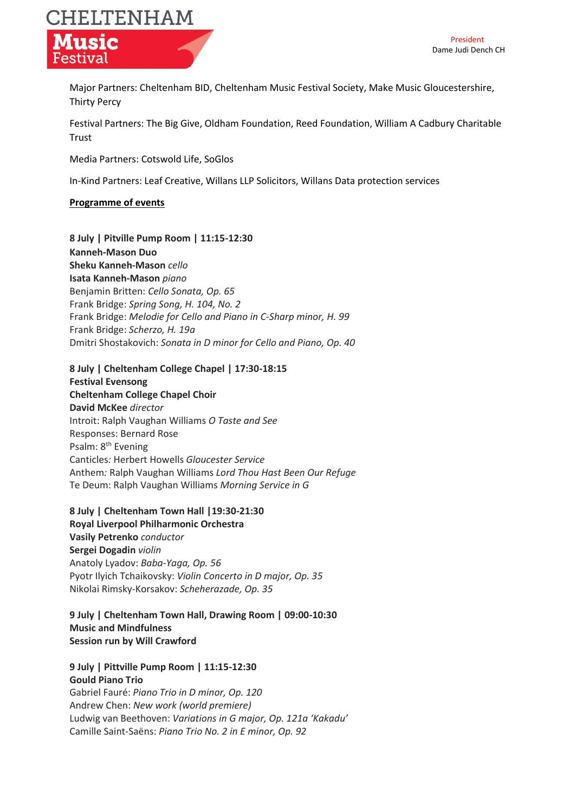# CHELTENHAM Iusic

Major Partners: Cheltenham BID, Cheltenham Music Festival Society, Make Music Gloucestershire, Thirty Percy

Festival Partners: The Big Give, Oldham Foundation, Reed Foundation, William A Cadbury Charitable Trust

Media Partners: Cotswold Life, SoGlos

In-Kind Partners: Leaf Creative, Willans LLP Solicitors, Willans Data protection services

#### **Programme of events**

**8 July | Pitville Pump Room | 11:15-12:30 Kanneh-Mason Duo Sheku Kanneh-Mason** *cello* **Isata Kanneh-Mason** *piano* Benjamin Britten: *Cello Sonata, Op. 65* Frank Bridge: *Spring Song, H. 104, No. 2* Frank Bridge: *Melodie for Cello and Piano in C-Sharp minor, H. 99* Frank Bridge: *Scherzo, H. 19a* Dmitri Shostakovich: *Sonata in D minor for Cello and Piano, Op. 40*

**8 July | Cheltenham College Chapel | 17:30-18:15 Festival Evensong Cheltenham College Chapel Choir David McKee** *director* Introit: Ralph Vaughan Williams *O Taste and See* Responses: Bernard Rose Psalm: 8<sup>th</sup> Evening Canticles*:* Herbert Howells *Gloucester Service* Anthem*:* Ralph Vaughan Williams *Lord Thou Hast Been Our Refuge* Te Deum: Ralph Vaughan Williams *Morning Service in G*

**8 July | Cheltenham Town Hall |19:30-21:30 Royal Liverpool Philharmonic Orchestra Vasily Petrenko** *conductor* **Sergei Dogadin** *violin* Anatoly Lyadov: *Baba-Yaga, Op. 56* Pyotr Ilyich Tchaikovsky: *Violin Concerto in D major, Op. 35* Nikolai Rimsky-Korsakov: *Scheherazade, Op. 35*

**9 July | Cheltenham Town Hall, Drawing Room | 09:00-10:30 Music and Mindfulness Session run by Will Crawford**

## **9 July | Pittville Pump Room | 11:15-12:30 Gould Piano Trio**

Gabriel Fauré: *Piano Trio in D minor, Op. 120* Andrew Chen: *New work (world premiere)* Ludwig van Beethoven: *Variations in G major, Op. 121a 'Kakadu'* Camille Saint-Saëns: *Piano Trio No. 2 in E minor, Op. 92*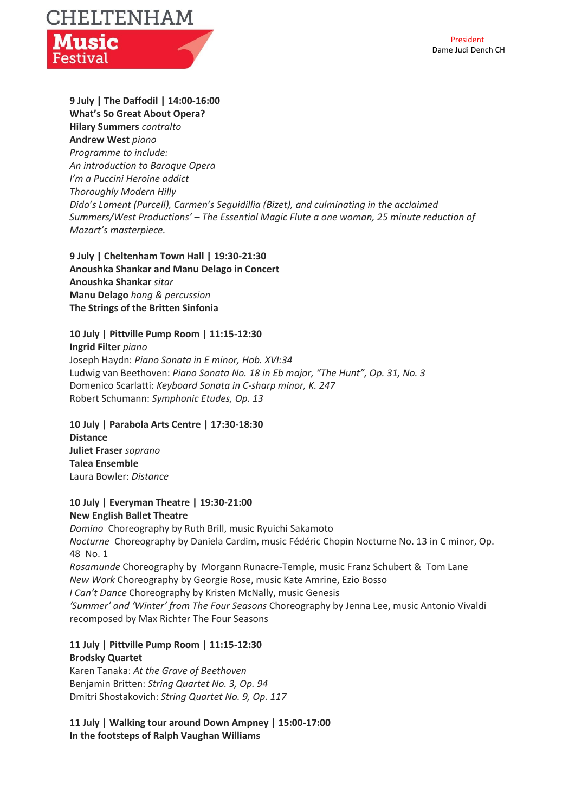

**9 July | The Daffodil | 14:00-16:00 What's So Great About Opera? Hilary Summers** *contralto* **Andrew West** *piano Programme to include: An introduction to Baroque Opera I'm a Puccini Heroine addict Thoroughly Modern Hilly Dido's Lament (Purcell), Carmen's Seguidillia (Bizet), and culminating in the acclaimed Summers/West Productions' – The Essential Magic Flute a one woman, 25 minute reduction of Mozart's masterpiece.*

**9 July | Cheltenham Town Hall | 19:30-21:30 Anoushka Shankar and Manu Delago in Concert Anoushka Shankar** *sitar* **Manu Delago** *hang & percussion* **The Strings of the Britten Sinfonia**

**10 July | Pittville Pump Room | 11:15-12:30 Ingrid Filter** *piano* Joseph Haydn: *Piano Sonata in E minor, Hob. XVI:34* Ludwig van Beethoven: *Piano Sonata No. 18 in Eb major, "The Hunt", Op. 31, No. 3* Domenico Scarlatti: *Keyboard Sonata in C-sharp minor, K. 247* Robert Schumann: *Symphonic Etudes, Op. 13*

**10 July | Parabola Arts Centre | 17:30-18:30 Distance Juliet Fraser** *soprano* **Talea Ensemble** Laura Bowler: *Distance*

#### **10 July | Everyman Theatre | 19:30-21:00 New English Ballet Theatre**

*Domino* Choreography by Ruth Brill, music Ryuichi Sakamoto *Nocturne* Choreography by Daniela Cardim, music Fédéric Chopin Nocturne No. 13 in C minor, Op. 48 No. 1 *Rosamunde* Choreography by Morgann Runacre-Temple, music Franz Schubert & Tom Lane *New Work* Choreography by Georgie Rose, music Kate Amrine, Ezio Bosso *I Can't Dance* Choreography by Kristen McNally, music Genesis

*'Summer' and 'Winter' from The Four Seasons* Choreography by Jenna Lee, music Antonio Vivaldi recomposed by Max Richter The Four Seasons

### **11 July | Pittville Pump Room | 11:15-12:30 Brodsky Quartet**

Karen Tanaka: *At the Grave of Beethoven* Benjamin Britten: *String Quartet No. 3, Op. 94* Dmitri Shostakovich: *String Quartet No. 9, Op. 117*

**11 July | Walking tour around Down Ampney | 15:00-17:00 In the footsteps of Ralph Vaughan Williams**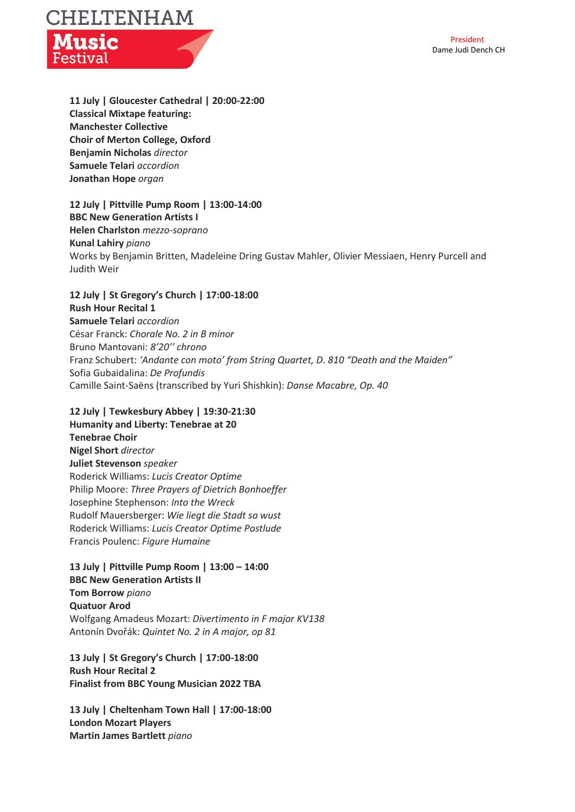



**11 July | Gloucester Cathedral | 20:00-22:00 Classical Mixtape featuring: Manchester Collective Choir of Merton College, Oxford Benjamin Nicholas** *director* **Samuele Telari** *accordion* **Jonathan Hope** *organ*

**12 July | Pittville Pump Room | 13:00-14:00 BBC New Generation Artists I Helen Charlston** *mezzo-soprano* **Kunal Lahiry** *piano* Works by Benjamin Britten, Madeleine Dring Gustav Mahler, Olivier Messiaen, Henry Purcell and Judith Weir

**12 July | St Gregory's Church | 17:00-18:00 Rush Hour Recital 1 Samuele Telari** *accordion* César Franck: *Chorale No. 2 in B minor*

Bruno Mantovani: *8'20'' chrono* Franz Schubert: *'Andante con moto' from String Quartet, D. 810 "Death and the Maiden"* Sofia Gubaidalina: *De Profundis* Camille Saint-Saëns (transcribed by Yuri Shishkin): *Danse Macabre, Op. 40*

**12 July | Tewkesbury Abbey | 19:30-21:30 Humanity and Liberty: Tenebrae at 20 Tenebrae Choir Nigel Short** *director* **Juliet Stevenson** *speaker* Roderick Williams: *Lucis Creator Optime* Philip Moore: *Three Prayers of Dietrich Bonhoeffer* Josephine Stephenson: *Into the Wreck* Rudolf Mauersberger: *Wie liegt die Stadt so wust* Roderick Williams: *Lucis Creator Optime Postlude* Francis Poulenc: *Figure Humaine*

**13 July | Pittville Pump Room | 13:00 – 14:00 BBC New Generation Artists II Tom Borrow** *piano* **Quatuor Arod** Wolfgang Amadeus Mozart: *Divertimento in F major KV138* Antonín Dvořák: *Quintet No. 2 in A major, op 81*

**13 July | St Gregory's Church | 17:00-18:00 Rush Hour Recital 2 Finalist from BBC Young Musician 2022 TBA** 

**13 July | Cheltenham Town Hall | 17:00-18:00 London Mozart Players Martin James Bartlett** *piano*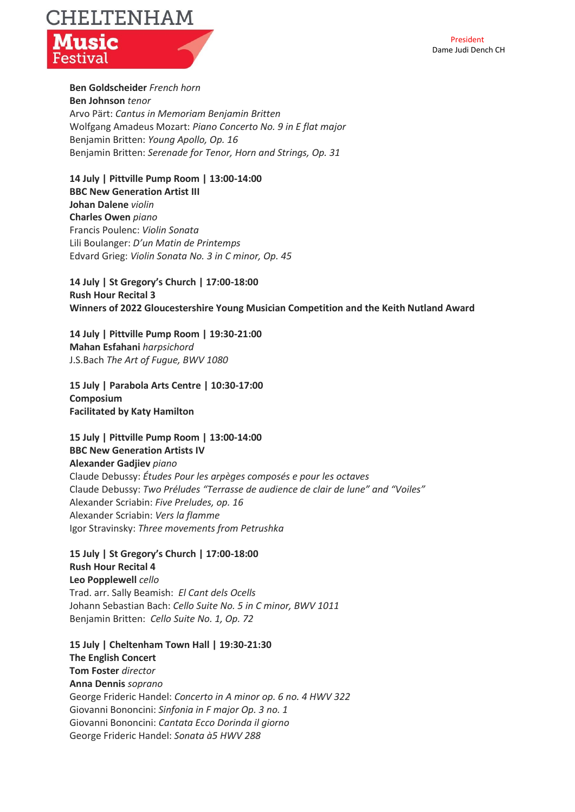

**Ben Goldscheider** *French horn* **Ben Johnson** *tenor* Arvo Pärt: *Cantus in Memoriam Benjamin Britten* Wolfgang Amadeus Mozart: *Piano Concerto No. 9 in E flat major* Benjamin Britten: *Young Apollo, Op. 16* Benjamin Britten: *Serenade for Tenor, Horn and Strings, Op. 31*

**14 July | Pittville Pump Room | 13:00-14:00 BBC New Generation Artist III Johan Dalene** *violin* **Charles Owen** *piano* Francis Poulenc: *Violin Sonata* Lili Boulanger: *D'un Matin de Printemps* Edvard Grieg: *Violin Sonata No. 3 in C minor, Op. 45*

**14 July | St Gregory's Church | 17:00-18:00 Rush Hour Recital 3 Winners of 2022 Gloucestershire Young Musician Competition and the Keith Nutland Award**

**14 July | Pittville Pump Room | 19:30-21:00 Mahan Esfahani** *harpsichord* J.S.Bach *The Art of Fugue, BWV 1080*

**15 July | Parabola Arts Centre | 10:30-17:00 Composium Facilitated by Katy Hamilton**

**15 July | Pittville Pump Room | 13:00-14:00 BBC New Generation Artists IV Alexander Gadjiev** *piano* Claude Debussy: *Études Pour les arpèges composés e pour les octaves* Claude Debussy: *Two Préludes "Terrasse de audience de clair de lune" and "Voiles"* Alexander Scriabin: *Five Preludes, op. 16* Alexander Scriabin: *Vers la flamme* Igor Stravinsky: *Three movements from Petrushka*

**15 July | St Gregory's Church | 17:00-18:00 Rush Hour Recital 4 Leo Popplewell** *cello* Trad. arr. Sally Beamish: *El Cant dels Ocells* Johann Sebastian Bach: *Cello Suite No. 5 in C minor, BWV 1011* Benjamin Britten: *Cello Suite No. 1, Op. 72*

**15 July | Cheltenham Town Hall | 19:30-21:30 The English Concert Tom Foster** *director* **Anna Dennis** *soprano* George Frideric Handel: *Concerto in A minor op. 6 no. 4 HWV 322* Giovanni Bononcini: *Sinfonia in F major Op. 3 no. 1* Giovanni Bononcini: *Cantata Ecco Dorinda il giorno* George Frideric Handel: *Sonata à5 HWV 288*